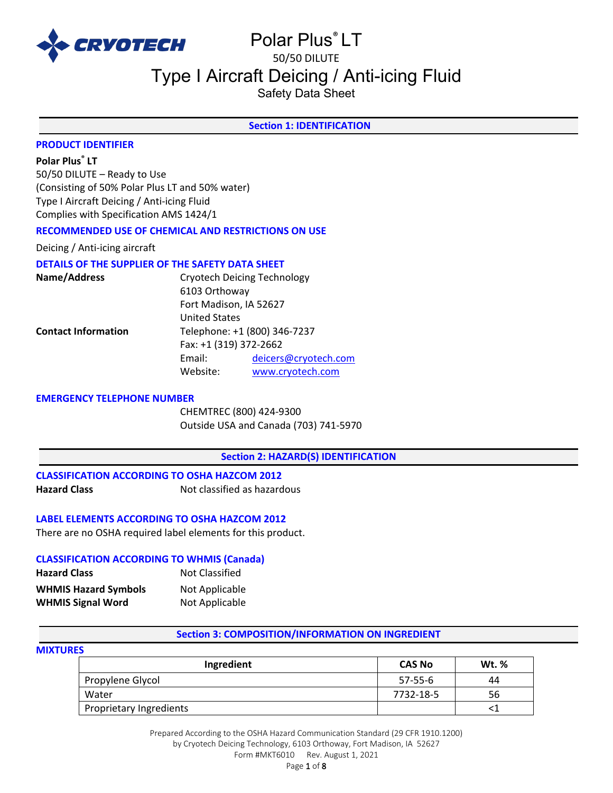

# Polar Plus® LT 50/50 DILUTE

# Type I Aircraft Deicing / Anti-icing Fluid

Safety Data Sheet

# **Section 1: IDENTIFICATION**

#### **PRODUCT IDENTIFIER**

# **Polar Plus® LT**

50/50 DILUTE – Ready to Use (Consisting of 50% Polar Plus LT and 50% water) Type I Aircraft Deicing / Anti-icing Fluid Complies with Specification AMS 1424/1

# **RECOMMENDED USE OF CHEMICAL AND RESTRICTIONS ON USE**

Deicing / Anti-icing aircraft

#### **DETAILS OF THE SUPPLIER OF THE SAFETY DATA SHEET**

| Name/Address               |                              | <b>Cryotech Deicing Technology</b> |  |
|----------------------------|------------------------------|------------------------------------|--|
|                            | 6103 Orthoway                |                                    |  |
|                            | Fort Madison, IA 52627       |                                    |  |
|                            | <b>United States</b>         |                                    |  |
| <b>Contact Information</b> | Telephone: +1 (800) 346-7237 |                                    |  |
|                            | Fax: +1 (319) 372-2662       |                                    |  |
|                            | Email:                       | deicers@cryotech.com               |  |
|                            | Website:                     | www.cryotech.com                   |  |
|                            |                              |                                    |  |

#### **EMERGENCY TELEPHONE NUMBER**

CHEMTREC (800) 424-9300 Outside USA and Canada (703) 741-5970

#### **Section 2: HAZARD(S) IDENTIFICATION**

**CLASSIFICATION ACCORDING TO OSHA HAZCOM 2012 Hazard Class Not classified as hazardous** 

# **LABEL ELEMENTS ACCORDING TO OSHA HAZCOM 2012**

There are no OSHA required label elements for this product.

#### **CLASSIFICATION ACCORDING TO WHMIS (Canada)**

| <b>Hazard Class</b>         | Not Classified |
|-----------------------------|----------------|
| <b>WHMIS Hazard Symbols</b> | Not Applicable |
| <b>WHMIS Signal Word</b>    | Not Applicable |

#### **Section 3: COMPOSITION/INFORMATION ON INGREDIENT**

#### **MIXTURES**

| Ingredient              | <b>CAS No</b> | <b>Wt.</b> % |
|-------------------------|---------------|--------------|
| Propylene Glycol        | $57-55-6$     | 44           |
| Water                   | 7732-18-5     | 56           |
| Proprietary Ingredients |               |              |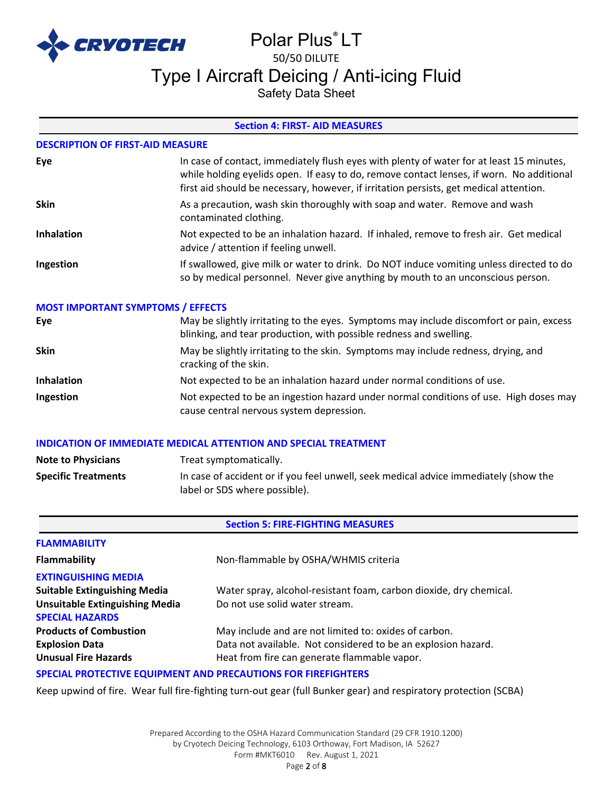

# Polar Plus® LT 50/50 DILUTE Type I Aircraft Deicing / Anti-icing Fluid

Safety Data Sheet

# **Section 4: FIRST- AID MEASURES**

#### **DESCRIPTION OF FIRST-AID MEASURE**

| Eye               | In case of contact, immediately flush eyes with plenty of water for at least 15 minutes,<br>while holding eyelids open. If easy to do, remove contact lenses, if worn. No additional<br>first aid should be necessary, however, if irritation persists, get medical attention. |
|-------------------|--------------------------------------------------------------------------------------------------------------------------------------------------------------------------------------------------------------------------------------------------------------------------------|
| <b>Skin</b>       | As a precaution, wash skin thoroughly with soap and water. Remove and wash<br>contaminated clothing.                                                                                                                                                                           |
| <b>Inhalation</b> | Not expected to be an inhalation hazard. If inhaled, remove to fresh air. Get medical<br>advice / attention if feeling unwell.                                                                                                                                                 |
| Ingestion         | If swallowed, give milk or water to drink. Do NOT induce vomiting unless directed to do<br>so by medical personnel. Never give anything by mouth to an unconscious person.                                                                                                     |

#### **MOST IMPORTANT SYMPTOMS / EFFECTS**

| Eye               | May be slightly irritating to the eyes. Symptoms may include discomfort or pain, excess<br>blinking, and tear production, with possible redness and swelling. |
|-------------------|---------------------------------------------------------------------------------------------------------------------------------------------------------------|
| <b>Skin</b>       | May be slightly irritating to the skin. Symptoms may include redness, drying, and<br>cracking of the skin.                                                    |
| <b>Inhalation</b> | Not expected to be an inhalation hazard under normal conditions of use.                                                                                       |
| Ingestion         | Not expected to be an ingestion hazard under normal conditions of use. High doses may<br>cause central nervous system depression.                             |

#### **INDICATION OF IMMEDIATE MEDICAL ATTENTION AND SPECIAL TREATMENT**

| <b>Note to Physicians</b>  | Treat symptomatically.                                                                                                |
|----------------------------|-----------------------------------------------------------------------------------------------------------------------|
| <b>Specific Treatments</b> | In case of accident or if you feel unwell, seek medical advice immediately (show the<br>label or SDS where possible). |

# **Section 5: FIRE-FIGHTING MEASURES**

| <b>FLAMMABILITY</b>                                                  |                                                                    |
|----------------------------------------------------------------------|--------------------------------------------------------------------|
| Flammability                                                         | Non-flammable by OSHA/WHMIS criteria                               |
| <b>EXTINGUISHING MEDIA</b>                                           |                                                                    |
| <b>Suitable Extinguishing Media</b>                                  | Water spray, alcohol-resistant foam, carbon dioxide, dry chemical. |
| <b>Unsuitable Extinguishing Media</b>                                | Do not use solid water stream.                                     |
| <b>SPECIAL HAZARDS</b>                                               |                                                                    |
| <b>Products of Combustion</b>                                        | May include and are not limited to: oxides of carbon.              |
| <b>Explosion Data</b>                                                | Data not available. Not considered to be an explosion hazard.      |
| <b>Unusual Fire Hazards</b>                                          | Heat from fire can generate flammable vapor.                       |
| <b>SPECIAL PROTECTIVE EQUIPMENT AND PRECAUTIONS FOR FIREFIGHTERS</b> |                                                                    |

Keep upwind of fire. Wear full fire-fighting turn-out gear (full Bunker gear) and respiratory protection (SCBA)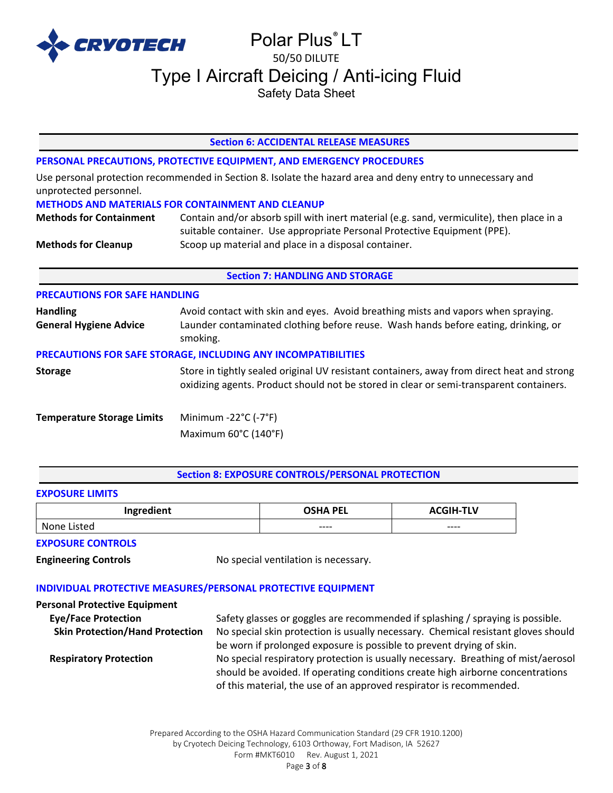

#### **Section 6: ACCIDENTAL RELEASE MEASURES**

#### **PERSONAL PRECAUTIONS, PROTECTIVE EQUIPMENT, AND EMERGENCY PROCEDURES**

Use personal protection recommended in Section 8. Isolate the hazard area and deny entry to unnecessary and unprotected personnel.

#### **METHODS AND MATERIALS FOR CONTAINMENT AND CLEANUP**

**Methods for Containment** Contain and/or absorb spill with inert material (e.g. sand, vermiculite), then place in a suitable container. Use appropriate Personal Protective Equipment (PPE). **Methods for Cleanup** Scoop up material and place in a disposal container.

#### **Section 7: HANDLING AND STORAGE**

# **PRECAUTIONS FOR SAFE HANDLING Handling** Avoid contact with skin and eyes. Avoid breathing mists and vapors when spraying. **General Hygiene Advice** Launder contaminated clothing before reuse. Wash hands before eating, drinking, or smoking. **PRECAUTIONS FOR SAFE STORAGE, INCLUDING ANY INCOMPATIBILITIES Storage** Store in tightly sealed original UV resistant containers, away from direct heat and strong oxidizing agents. Product should not be stored in clear or semi-transparent containers. **Temperature Storage Limits** Minimum -22°C (-7°F) Maximum 60°C (140°F)

#### **Section 8: EXPOSURE CONTROLS/PERSONAL PROTECTION**

#### **EXPOSURE LIMITS**

| Ingredient     | <b>OSHA PEL</b> | <b>ACGIH-TLV</b> |
|----------------|-----------------|------------------|
| None<br>Listed | $--- -$         | $--- -$          |

#### **EXPOSURE CONTROLS**

**Engineering Controls** No special ventilation is necessary.

#### **INDIVIDUAL PROTECTIVE MEASURES/PERSONAL PROTECTIVE EQUIPMENT**

| <b>Personal Protective Equipment</b>   |                                                                                   |
|----------------------------------------|-----------------------------------------------------------------------------------|
| <b>Eye/Face Protection</b>             | Safety glasses or goggles are recommended if splashing / spraying is possible.    |
| <b>Skin Protection/Hand Protection</b> | No special skin protection is usually necessary. Chemical resistant gloves should |
|                                        | be worn if prolonged exposure is possible to prevent drying of skin.              |
| <b>Respiratory Protection</b>          | No special respiratory protection is usually necessary. Breathing of mist/aerosol |
|                                        | should be avoided. If operating conditions create high airborne concentrations    |
|                                        | of this material, the use of an approved respirator is recommended.               |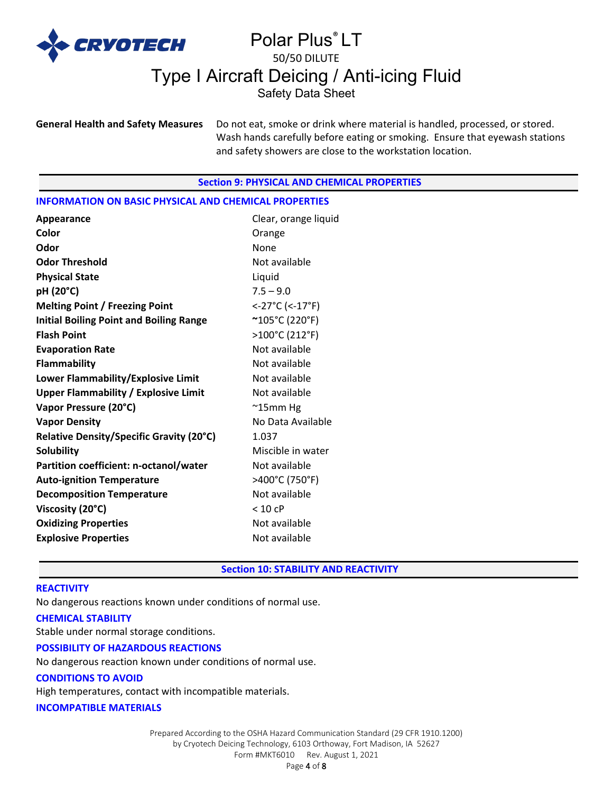

**General Health and Safety Measures** Do not eat, smoke or drink where material is handled, processed, or stored. Wash hands carefully before eating or smoking. Ensure that eyewash stations and safety showers are close to the workstation location.

#### **Section 9: PHYSICAL AND CHEMICAL PROPERTIES**

#### **INFORMATION ON BASIC PHYSICAL AND CHEMICAL PROPERTIES**

| Appearance                                     | Clear, orange liquid |
|------------------------------------------------|----------------------|
| Color                                          | Orange               |
| Odor                                           | None                 |
| <b>Odor Threshold</b>                          | Not available        |
| <b>Physical State</b>                          | Liquid               |
| pH (20°C)                                      | $7.5 - 9.0$          |
| <b>Melting Point / Freezing Point</b>          | <-27°C (<-17°F)      |
| <b>Initial Boiling Point and Boiling Range</b> | ~105°C (220°F)       |
| <b>Flash Point</b>                             | >100°C (212°F)       |
| <b>Evaporation Rate</b>                        | Not available        |
| Flammability                                   | Not available        |
| Lower Flammability/Explosive Limit             | Not available        |
| <b>Upper Flammability / Explosive Limit</b>    | Not available        |
| Vapor Pressure (20°C)                          | $\sim$ 15mm Hg       |
| <b>Vapor Density</b>                           | No Data Available    |
| Relative Density/Specific Gravity (20°C)       | 1.037                |
| <b>Solubility</b>                              | Miscible in water    |
| Partition coefficient: n-octanol/water         | Not available        |
| <b>Auto-ignition Temperature</b>               | >400°C (750°F)       |
| <b>Decomposition Temperature</b>               | Not available        |
| Viscosity (20°C)                               | < 10 cP              |
| <b>Oxidizing Properties</b>                    | Not available        |
| <b>Explosive Properties</b>                    | Not available        |

# **Section 10: STABILITY AND REACTIVITY**

#### **REACTIVITY**

No dangerous reactions known under conditions of normal use.

#### **CHEMICAL STABILITY**

Stable under normal storage conditions.

#### **POSSIBILITY OF HAZARDOUS REACTIONS**

No dangerous reaction known under conditions of normal use.

## **CONDITIONS TO AVOID**

High temperatures, contact with incompatible materials.

#### **INCOMPATIBLE MATERIALS**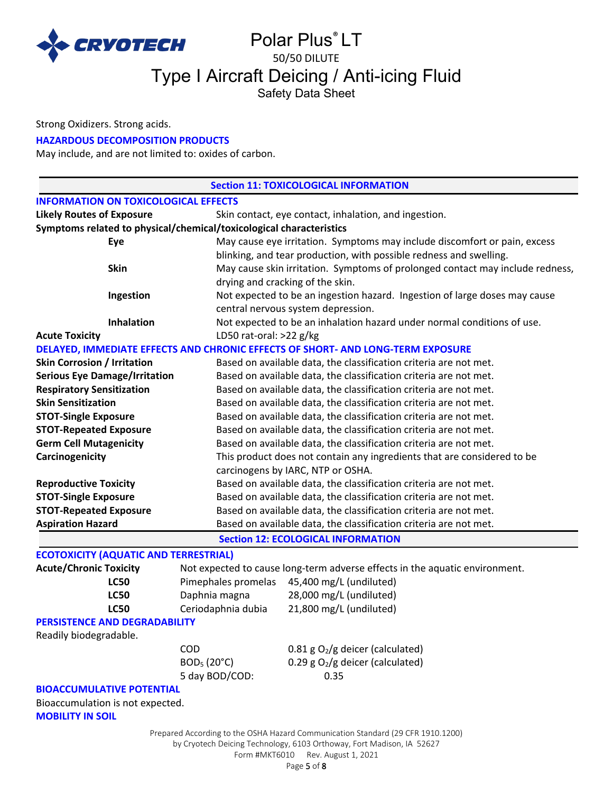

Strong Oxidizers. Strong acids.

### **HAZARDOUS DECOMPOSITION PRODUCTS**

May include, and are not limited to: oxides of carbon.

|                                                                     |                         | <b>Section 11: TOXICOLOGICAL INFORMATION</b>                                    |  |  |  |
|---------------------------------------------------------------------|-------------------------|---------------------------------------------------------------------------------|--|--|--|
| <b>INFORMATION ON TOXICOLOGICAL EFFECTS</b>                         |                         |                                                                                 |  |  |  |
| <b>Likely Routes of Exposure</b>                                    |                         | Skin contact, eye contact, inhalation, and ingestion.                           |  |  |  |
| Symptoms related to physical/chemical/toxicological characteristics |                         |                                                                                 |  |  |  |
| Eye                                                                 |                         | May cause eye irritation. Symptoms may include discomfort or pain, excess       |  |  |  |
|                                                                     |                         | blinking, and tear production, with possible redness and swelling.              |  |  |  |
| <b>Skin</b>                                                         |                         | May cause skin irritation. Symptoms of prolonged contact may include redness,   |  |  |  |
|                                                                     |                         | drying and cracking of the skin.                                                |  |  |  |
| Ingestion                                                           |                         | Not expected to be an ingestion hazard. Ingestion of large doses may cause      |  |  |  |
|                                                                     |                         | central nervous system depression.                                              |  |  |  |
| <b>Inhalation</b>                                                   |                         | Not expected to be an inhalation hazard under normal conditions of use.         |  |  |  |
| <b>Acute Toxicity</b>                                               | LD50 rat-oral: >22 g/kg |                                                                                 |  |  |  |
|                                                                     |                         | DELAYED, IMMEDIATE EFFECTS AND CHRONIC EFFECTS OF SHORT- AND LONG-TERM EXPOSURE |  |  |  |
| <b>Skin Corrosion / Irritation</b>                                  |                         | Based on available data, the classification criteria are not met.               |  |  |  |
| <b>Serious Eye Damage/Irritation</b>                                |                         | Based on available data, the classification criteria are not met.               |  |  |  |
| <b>Respiratory Sensitization</b>                                    |                         | Based on available data, the classification criteria are not met.               |  |  |  |
| <b>Skin Sensitization</b>                                           |                         | Based on available data, the classification criteria are not met.               |  |  |  |
| <b>STOT-Single Exposure</b>                                         |                         | Based on available data, the classification criteria are not met.               |  |  |  |
| <b>STOT-Repeated Exposure</b>                                       |                         | Based on available data, the classification criteria are not met.               |  |  |  |
| <b>Germ Cell Mutagenicity</b>                                       |                         | Based on available data, the classification criteria are not met.               |  |  |  |
| Carcinogenicity                                                     |                         | This product does not contain any ingredients that are considered to be         |  |  |  |
| carcinogens by IARC, NTP or OSHA.                                   |                         |                                                                                 |  |  |  |
| <b>Reproductive Toxicity</b>                                        |                         | Based on available data, the classification criteria are not met.               |  |  |  |
| <b>STOT-Single Exposure</b>                                         |                         | Based on available data, the classification criteria are not met.               |  |  |  |
| <b>STOT-Repeated Exposure</b>                                       |                         | Based on available data, the classification criteria are not met.               |  |  |  |
| <b>Aspiration Hazard</b>                                            |                         | Based on available data, the classification criteria are not met.               |  |  |  |
|                                                                     |                         | <b>Section 12: ECOLOGICAL INFORMATION</b>                                       |  |  |  |
| <b>ECOTOXICITY (AQUATIC AND TERRESTRIAL)</b>                        |                         |                                                                                 |  |  |  |
| <b>Acute/Chronic Toxicity</b>                                       |                         | Not expected to cause long-term adverse effects in the aquatic environment.     |  |  |  |
| <b>LC50</b>                                                         | Pimephales promelas     | 45,400 mg/L (undiluted)                                                         |  |  |  |
| <b>LC50</b>                                                         | Daphnia magna           | 28,000 mg/L (undiluted)                                                         |  |  |  |
| <b>LC50</b>                                                         | Ceriodaphnia dubia      | 21,800 mg/L (undiluted)                                                         |  |  |  |
| <b>PERSISTENCE AND DEGRADABILITY</b>                                |                         |                                                                                 |  |  |  |
| Readily biodegradable.                                              |                         |                                                                                 |  |  |  |
|                                                                     | <b>COD</b>              | $0.81$ g O <sub>2</sub> /g deicer (calculated)                                  |  |  |  |
|                                                                     | BOD <sub>5</sub> (20°C) | 0.29 g $O_2/g$ deicer (calculated)                                              |  |  |  |
|                                                                     | 5 day BOD/COD:          | 0.35                                                                            |  |  |  |
| <b>BIOACCUMULATIVE POTENTIAL</b>                                    |                         |                                                                                 |  |  |  |
| Bioaccumulation is not expected.<br><b>MOBILITY IN SOIL</b>         |                         |                                                                                 |  |  |  |
|                                                                     |                         | Prepared According to the OSHA Hazard Communication Standard (29 CFR 1910.1200) |  |  |  |

by Cryotech Deicing Technology, 6103 Orthoway, Fort Madison, IA 52627

Form #MKT6010 Rev. August 1, 2021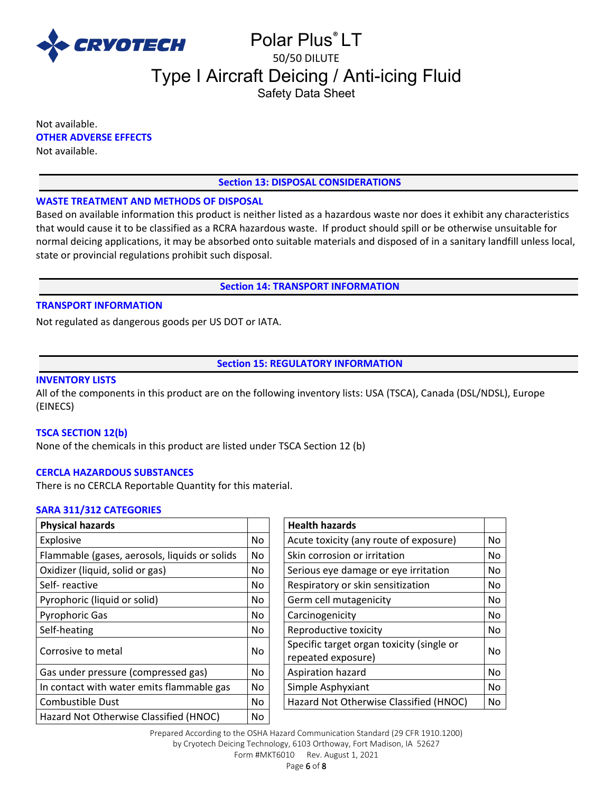

Not available. **OTHER ADVERSE EFFECTS** Not available.

# **Section 13: DISPOSAL CONSIDERATIONS**

### **WASTE TREATMENT AND METHODS OF DISPOSAL**

Based on available information this product is neither listed as a hazardous waste nor does it exhibit any characteristics that would cause it to be classified as a RCRA hazardous waste. If product should spill or be otherwise unsuitable for normal deicing applications, it may be absorbed onto suitable materials and disposed of in a sanitary landfill unless local, state or provincial regulations prohibit such disposal.

### **Section 14: TRANSPORT INFORMATION**

# **TRANSPORT INFORMATION**

Not regulated as dangerous goods per US DOT or IATA.

**Section 15: REGULATORY INFORMATION**

# **INVENTORY LISTS**

All of the components in this product are on the following inventory lists: USA (TSCA), Canada (DSL/NDSL), Europe (EINECS)

#### **TSCA SECTION 12(b)**

None of the chemicals in this product are listed under TSCA Section 12 (b)

#### **CERCLA HAZARDOUS SUBSTANCES**

There is no CERCLA Reportable Quantity for this material.

#### **SARA 311/312 CATEGORIES**

| <b>Physical hazards</b>                       |     | <b>Health hazards</b>                                           |    |
|-----------------------------------------------|-----|-----------------------------------------------------------------|----|
| Explosive                                     | No. | Acute toxicity (any route of exposure)                          | No |
| Flammable (gases, aerosols, liquids or solids | No. | Skin corrosion or irritation                                    | No |
| Oxidizer (liquid, solid or gas)               | No. | Serious eye damage or eye irritation                            | No |
| Self-reactive                                 | No. | Respiratory or skin sensitization                               | No |
| Pyrophoric (liquid or solid)                  | No. | Germ cell mutagenicity                                          | No |
| <b>Pyrophoric Gas</b>                         | No. | Carcinogenicity                                                 | No |
| Self-heating                                  | No. | Reproductive toxicity                                           | No |
| Corrosive to metal                            | No. | Specific target organ toxicity (single or<br>repeated exposure) | No |
| Gas under pressure (compressed gas)           | No. | Aspiration hazard                                               | No |
| In contact with water emits flammable gas     | No. | Simple Asphyxiant                                               | No |
| <b>Combustible Dust</b>                       | No. | Hazard Not Otherwise Classified (HNOC)                          | No |
| Hazard Not Otherwise Classified (HNOC)        | No  |                                                                 |    |
|                                               |     |                                                                 |    |

| <b>Health hazards</b>                                           |    |
|-----------------------------------------------------------------|----|
| Acute toxicity (any route of exposure)                          | No |
| Skin corrosion or irritation                                    | No |
| Serious eye damage or eye irritation                            | No |
| Respiratory or skin sensitization                               | No |
| Germ cell mutagenicity                                          | No |
| Carcinogenicity                                                 | No |
| Reproductive toxicity                                           | No |
| Specific target organ toxicity (single or<br>repeated exposure) | No |
| Aspiration hazard                                               | No |
| Simple Asphyxiant                                               | No |
| Hazard Not Otherwise Classified (HNOC)                          | No |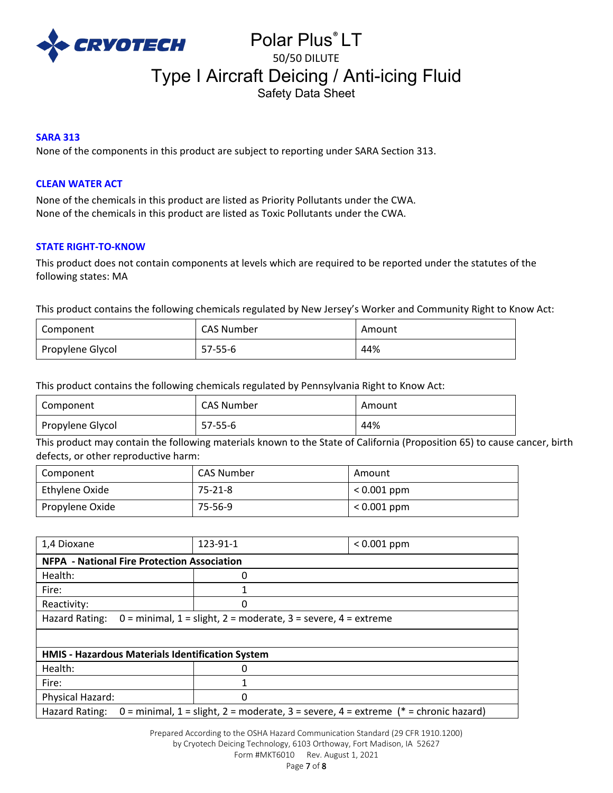

# **SARA 313**

None of the components in this product are subject to reporting under SARA Section 313.

# **CLEAN WATER ACT**

None of the chemicals in this product are listed as Priority Pollutants under the CWA. None of the chemicals in this product are listed as Toxic Pollutants under the CWA.

### **STATE RIGHT-TO-KNOW**

This product does not contain components at levels which are required to be reported under the statutes of the following states: MA

This product contains the following chemicals regulated by New Jersey's Worker and Community Right to Know Act:

| Component        | CAS Number | Amount |
|------------------|------------|--------|
| Propylene Glycol | $57-55-6$  | 44%    |

This product contains the following chemicals regulated by Pennsylvania Right to Know Act:

| Component          | CAS Number | Amount |
|--------------------|------------|--------|
| l Propylene Glycol | 57-55-6    | 44%    |

This product may contain the following materials known to the State of California (Proposition 65) to cause cancer, birth defects, or other reproductive harm:

| Component       | <b>CAS Number</b> | Amount        |
|-----------------|-------------------|---------------|
| Ethylene Oxide  | 75-21-8           | $< 0.001$ ppm |
| Propylene Oxide | 75-56-9           | $< 0.001$ ppm |

| 1,4 Dioxane                                                                                           | 123-91-1 | $< 0.001$ ppm |  |  |
|-------------------------------------------------------------------------------------------------------|----------|---------------|--|--|
| <b>NFPA - National Fire Protection Association</b>                                                    |          |               |  |  |
| Health:                                                                                               | 0        |               |  |  |
| Fire:                                                                                                 | 1        |               |  |  |
| Reactivity:                                                                                           | 0        |               |  |  |
| $0 =$ minimal, $1 =$ slight, $2 =$ moderate, $3 =$ severe, $4 =$ extreme<br>Hazard Rating:            |          |               |  |  |
|                                                                                                       |          |               |  |  |
| HMIS - Hazardous Materials Identification System                                                      |          |               |  |  |
| Health:                                                                                               | 0        |               |  |  |
| Fire:                                                                                                 | 1        |               |  |  |
| Physical Hazard:                                                                                      | Ω        |               |  |  |
| 0 = minimal, 1 = slight, 2 = moderate, 3 = severe, 4 = extreme (* = chronic hazard)<br>Hazard Rating: |          |               |  |  |